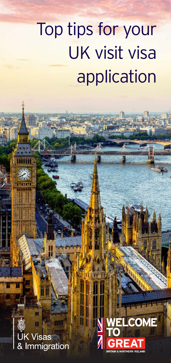# Top tips for your UK visit visa application



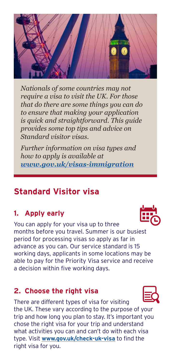

*Nationals of some countries may not require a visa to visit the UK. For those that do there are some things you can do to ensure that making your application is quick and straightforward. This guide provides some top tips and advice on Standard visitor visas.* 

*Further information on visa types and how to apply is available at www.gov.uk/visas-immigration*

# **Standard Visitor visa**

# **1. Apply early**

You can apply for your visa up to three months before you travel. Summer is our busiest period for processing visas so apply as far in advance as you can. Our service standard is 15 working days, applicants in some locations may be able to pay for the Priority Visa service and receive a decision within five working days.

#### **2. Choose the right visa**

There are different types of visa for visiting the UK. These vary according to the purpose of your trip and how long you plan to stay. It's important you chose the right visa for your trip and understand what activities you can and can't do with each visa type. Visit **www.gov.uk/check-uk-visa** to find the right visa for you.



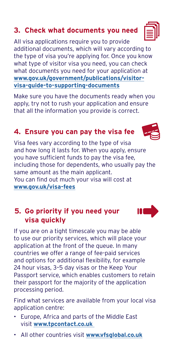## **3. Check what documents you need**

All visa applications require you to provide additional documents, which will vary according to the type of visa you're applying for. Once you know what type of visitor visa you need, you can check what documents you need for your application at **www.gov.uk/government/publications/visitorvisa-guide-to-supporting-documents**

Make sure you have the documents ready when you apply, try not to rush your application and ensure that all the information you provide is correct.

## **4. Ensure you can pay the visa fee**

Visa fees vary according to the type of visa and how long it lasts for. When you apply, ensure you have sufficient funds to pay the visa fee, including those for dependents, who usually pay the same amount as the main applicant. You can find out much your visa will cost at **www.gov.uk/visa-fees**

#### **5. Go priority if you need your visa quickly**

If you are on a tight timescale you may be able to use our priority services, which will place your application at the front of the queue. In many countries we offer a range of fee-paid services and options for additional flexibility, for example 24 hour visas, 3–5 day visas or the Keep Your Passport service, which enables customers to retain their passport for the majority of the application processing period.

Find what services are available from your local visa application centre:

- Europe, Africa and parts of the Middle East visit **www.tpcontact.co.uk**
- All other countries visit **www.vfsglobal.co.uk**